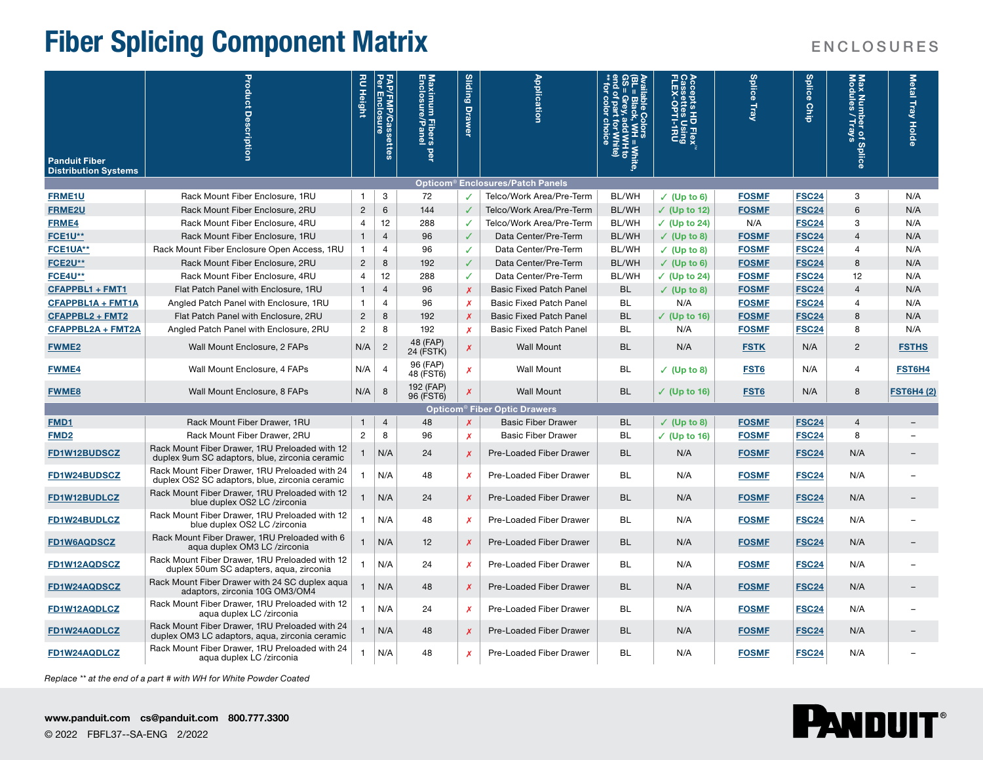### Fiber Splicing Component Matrix ENCLOSURES

| <b>Panduit Fiber</b><br><b>Distribution Systems</b> | <b>Product Description</b>                                                                       | <b>RU Height</b> | FAP/FMP/Cassettes<br>Per Enclosure | Maximum Fibers<br>Enclosure/Panel<br><b>Pe</b> | <b>Sliding</b><br><b>Drawer</b> | <b>Application</b>                           | ailable Colors<br>_ = Black, WH = Whit<br>s = Grey, add WH to<br>d <i>ot</i> part for White) | Accepts HD Flex"<br>Cassettes Using<br>FLEX-OPTI-1RU | <b>Splice</b><br>Tray | Splice<br><b>Chip</b> | Max Number of Splice<br>Modules / Trays | Metal Tray Holde  |
|-----------------------------------------------------|--------------------------------------------------------------------------------------------------|------------------|------------------------------------|------------------------------------------------|---------------------------------|----------------------------------------------|----------------------------------------------------------------------------------------------|------------------------------------------------------|-----------------------|-----------------------|-----------------------------------------|-------------------|
|                                                     |                                                                                                  |                  |                                    |                                                |                                 | Opticom <sup>®</sup> Enclosures/Patch Panels |                                                                                              |                                                      |                       |                       |                                         |                   |
| <b>FRME1U</b>                                       | Rack Mount Fiber Enclosure, 1RU                                                                  | 1                | 3                                  | 72                                             | ✓                               | Telco/Work Area/Pre-Term                     | BL/WH                                                                                        | $\sqrt{(\text{Up to 6})}$                            | <b>FOSMF</b>          | <b>FSC24</b>          | 3                                       | N/A               |
| FRME2U                                              | Rack Mount Fiber Enclosure, 2RU                                                                  | $\overline{c}$   | $6\phantom{1}$                     | 144                                            | $\checkmark$                    | Telco/Work Area/Pre-Term                     | BL/WH                                                                                        | $\sqrt{$ (Up to 12)                                  | <b>FOSMF</b>          | <b>FSC24</b>          | 6                                       | N/A               |
| FRME4                                               | Rack Mount Fiber Enclosure, 4RU                                                                  | 4                | 12                                 | 288                                            | ✓                               | Telco/Work Area/Pre-Term                     | BL/WH                                                                                        | $\checkmark$ (Up to 24)                              | N/A                   | <b>FSC24</b>          | 3                                       | N/A               |
| <b>FCE1U**</b>                                      | Rack Mount Fiber Enclosure, 1RU                                                                  | $\mathbf{1}$     | $\overline{4}$                     | 96                                             | $\checkmark$                    | Data Center/Pre-Term                         | BL/WH                                                                                        | $\sqrt{(\text{Up to 8})}$                            | <b>FOSMF</b>          | <b>FSC24</b>          | $\overline{4}$                          | N/A               |
| FCE1UA**                                            | Rack Mount Fiber Enclosure Open Access, 1RU                                                      | 1                | $\overline{4}$                     | 96                                             | $\checkmark$                    | Data Center/Pre-Term                         | BL/WH                                                                                        | $\checkmark$ (Up to 8)                               | <b>FOSMF</b>          | <b>FSC24</b>          | $\overline{4}$                          | N/A               |
| <b>FCE2U**</b>                                      | Rack Mount Fiber Enclosure, 2RU                                                                  | $\sqrt{2}$       | 8                                  | 192                                            | $\checkmark$                    | Data Center/Pre-Term                         | BL/WH                                                                                        | $\checkmark$ (Up to 6)                               | <b>FOSMF</b>          | <b>FSC24</b>          | 8                                       | N/A               |
| <b>FCE4U**</b>                                      | Rack Mount Fiber Enclosure, 4RU                                                                  | 4                | 12                                 | 288                                            | ✓                               | Data Center/Pre-Term                         | BL/WH                                                                                        | $\checkmark$ (Up to 24)                              | <b>FOSMF</b>          | <b>FSC24</b>          | 12                                      | N/A               |
| <b>CFAPPBL1 + FMT1</b>                              | Flat Patch Panel with Enclosure, 1RU                                                             | $\mathbf{1}$     | $\overline{4}$                     | 96                                             | $\boldsymbol{x}$                | <b>Basic Fixed Patch Panel</b>               | <b>BL</b>                                                                                    | $\sqrt{(\text{Up to 8})}$                            | <b>FOSMF</b>          | <b>FSC24</b>          | $\overline{4}$                          | N/A               |
| <b>CFAPPBL1A + FMT1A</b>                            | Angled Patch Panel with Enclosure, 1RU                                                           | $\mathbf{1}$     | 4                                  | 96                                             | $\boldsymbol{x}$                | <b>Basic Fixed Patch Panel</b>               | BL                                                                                           | N/A                                                  | <b>FOSME</b>          | <b>FSC24</b>          | $\overline{4}$                          | N/A               |
| <b>CFAPPBL2 + FMT2</b>                              | Flat Patch Panel with Enclosure, 2RU                                                             | $\overline{c}$   | 8                                  | 192                                            | $\boldsymbol{x}$                | <b>Basic Fixed Patch Panel</b>               | <b>BL</b>                                                                                    | $\checkmark$ (Up to 16)                              | <b>FOSMF</b>          | <b>FSC24</b>          | 8                                       | N/A               |
| CFAPPBL2A + FMT2A                                   | Angled Patch Panel with Enclosure, 2RU                                                           | $\overline{c}$   | 8                                  | 192                                            | $\boldsymbol{x}$                | <b>Basic Fixed Patch Panel</b>               | BL                                                                                           | N/A                                                  | <b>FOSMF</b>          | <b>FSC24</b>          | 8                                       | N/A               |
| <b>FWME2</b>                                        | Wall Mount Enclosure, 2 FAPs                                                                     | N/A              | $\overline{2}$                     | 48 (FAP)<br>24 (FSTK)                          | $\boldsymbol{x}$                | <b>Wall Mount</b>                            | <b>BL</b>                                                                                    | N/A                                                  | <b>FSTK</b>           | N/A                   | $\overline{2}$                          | <b>FSTHS</b>      |
| <b>FWME4</b>                                        | Wall Mount Enclosure, 4 FAPs                                                                     | N/A              | $\overline{4}$                     | 96 (FAP)<br>48 (FST6)                          | $\boldsymbol{x}$                | <b>Wall Mount</b>                            | <b>BL</b>                                                                                    | $\sqrt{(Up to 8)}$                                   | FST <sub>6</sub>      | N/A                   | $\overline{4}$                          | FST6H4            |
| <b>FWME8</b>                                        | Wall Mount Enclosure, 8 FAPs                                                                     | N/A              | 8                                  | 192 (FAP)<br>96 (FST6)                         | $\pmb{\chi}$                    | <b>Wall Mount</b>                            | <b>BL</b>                                                                                    | $\checkmark$ (Up to 16)                              | FST <sub>6</sub>      | N/A                   | 8                                       | <b>FST6H4 (2)</b> |
|                                                     |                                                                                                  |                  |                                    |                                                |                                 | Opticom <sup>®</sup> Fiber Optic Drawers     |                                                                                              |                                                      |                       |                       |                                         |                   |
| FMD <sub>1</sub>                                    | Rack Mount Fiber Drawer, 1RU                                                                     | $\mathbf{1}$     | $\overline{4}$                     | 48                                             | $\boldsymbol{x}$                | <b>Basic Fiber Drawer</b>                    | BL.                                                                                          | $\sqrt{(Up to 8)}$                                   | <b>FOSMF</b>          | <b>FSC24</b>          | 4                                       |                   |
| FMD <sub>2</sub>                                    | Rack Mount Fiber Drawer, 2RU                                                                     | $\overline{2}$   | 8                                  | 96                                             | X                               | <b>Basic Fiber Drawer</b>                    | BL                                                                                           | $\checkmark$ (Up to 16)                              | <b>FOSMF</b>          | <b>FSC24</b>          | 8                                       |                   |
| FD1W12BUDSCZ                                        | Rack Mount Fiber Drawer, 1RU Preloaded with 12<br>duplex 9um SC adaptors, blue, zirconia ceramic | 1                | N/A                                | 24                                             | $\boldsymbol{x}$                | Pre-Loaded Fiber Drawer                      | BL.                                                                                          | N/A                                                  | <b>FOSMF</b>          | <b>FSC24</b>          | N/A                                     |                   |
| FD1W24BUDSCZ                                        | Rack Mount Fiber Drawer, 1RU Preloaded with 24<br>duplex OS2 SC adaptors, blue, zirconia ceramic |                  | N/A                                | 48                                             | $\boldsymbol{x}$                | Pre-Loaded Fiber Drawer                      | <b>BL</b>                                                                                    | N/A                                                  | <b>FOSMF</b>          | <b>FSC24</b>          | N/A                                     |                   |
| FD1W12BUDLCZ                                        | Rack Mount Fiber Drawer, 1RU Preloaded with 12<br>blue duplex OS2 LC /zirconia                   |                  | N/A                                | 24                                             | $\boldsymbol{x}$                | Pre-Loaded Fiber Drawer                      | <b>BL</b>                                                                                    | N/A                                                  | <b>FOSMF</b>          | <b>FSC24</b>          | N/A                                     |                   |
| FD1W24BUDLCZ                                        | Rack Mount Fiber Drawer, 1RU Preloaded with 12<br>blue duplex OS2 LC /zirconia                   |                  | N/A                                | 48                                             | $\boldsymbol{x}$                | Pre-Loaded Fiber Drawer                      | <b>BL</b>                                                                                    | N/A                                                  | <b>FOSMF</b>          | <b>FSC24</b>          | N/A                                     |                   |
| <b>FD1W6AQDSCZ</b>                                  | Rack Mount Fiber Drawer, 1RU Preloaded with 6<br>aqua duplex OM3 LC /zirconia                    | 1                | N/A                                | 12                                             | $\boldsymbol{x}$                | Pre-Loaded Fiber Drawer                      | BL.                                                                                          | N/A                                                  | <b>FOSMF</b>          | <b>FSC24</b>          | N/A                                     |                   |
| FD1W12AQDSCZ                                        | Rack Mount Fiber Drawer, 1RU Preloaded with 12<br>duplex 50um SC adapters, agua, zirconia        |                  | N/A                                | 24                                             | $\boldsymbol{x}$                | Pre-Loaded Fiber Drawer                      | BL                                                                                           | N/A                                                  | <b>FOSME</b>          | <b>FSC24</b>          | N/A                                     |                   |
| FD1W24AQDSCZ                                        | Rack Mount Fiber Drawer with 24 SC duplex aqua<br>adaptors, zirconia 10G OM3/OM4                 | $\mathbf{1}$     | N/A                                | 48                                             | $\boldsymbol{x}$                | Pre-Loaded Fiber Drawer                      | <b>BL</b>                                                                                    | N/A                                                  | <b>FOSMF</b>          | <b>FSC24</b>          | N/A                                     |                   |
| FD1W12AQDLCZ                                        | Rack Mount Fiber Drawer, 1RU Preloaded with 12<br>aqua duplex LC /zirconia                       |                  | N/A                                | 24                                             | $\boldsymbol{x}$                | Pre-Loaded Fiber Drawer                      | <b>BL</b>                                                                                    | N/A                                                  | <b>FOSMF</b>          | <b>FSC24</b>          | N/A                                     |                   |
| FD1W24AQDLCZ                                        | Rack Mount Fiber Drawer, 1RU Preloaded with 24<br>duplex OM3 LC adaptors, agua, zirconia ceramic |                  | N/A                                | 48                                             | $\boldsymbol{x}$                | Pre-Loaded Fiber Drawer                      | <b>BL</b>                                                                                    | N/A                                                  | <b>FOSMF</b>          | <b>FSC24</b>          | N/A                                     |                   |
| FD1W24AQDLCZ                                        | Rack Mount Fiber Drawer, 1RU Preloaded with 24<br>aqua duplex LC /zirconia                       |                  | N/A                                | 48                                             | X                               | Pre-Loaded Fiber Drawer                      | BL                                                                                           | N/A                                                  | <b>FOSMF</b>          | <b>FSC24</b>          | N/A                                     |                   |

*Replace \*\* at the end of a part # with WH for White Powder Coated*



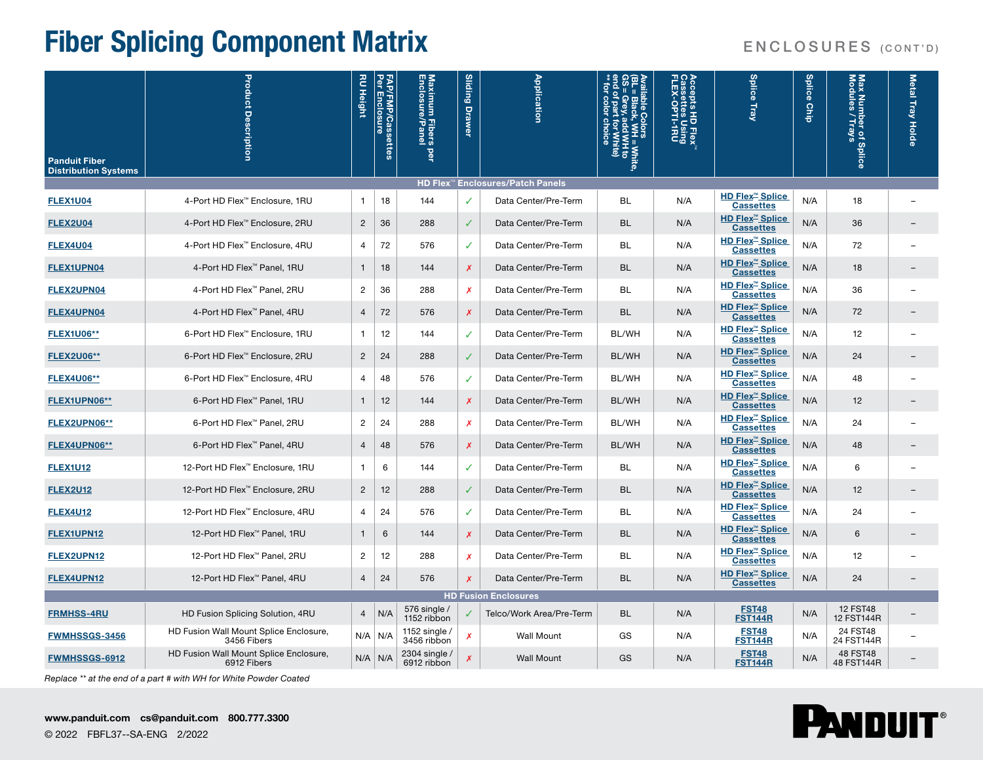## Fiber Splicing Component Matrix ENCLOSURES (CONT'D)

| <b>Panduit Fiber</b><br><b>Distribution Systems</b> | <b>Product Description</b>                            | <b>RU Height</b> | FAP/FMP/Cassettes<br>Per Enclosure | Maximum Fibers<br>Enclosure/Panel<br>per | <b>Sliding</b><br><b>Drawer</b> | <b>Application</b>                           | 10 =<br>이후<br>Available Colors<br>(BL = Black, WH = White,<br>GS = Grey, add WH to<br>end of part for White)<br>for color choice | Accepts HD Flex"<br>Cassettes Using<br>FLEX-OPTI-1RU | <b>Splice Tray</b>                                    | Splice Chip | Max Number of Splice<br>Modules / Trays | <b>Metal</b><br>$\sqrt{2}$<br>Holde |
|-----------------------------------------------------|-------------------------------------------------------|------------------|------------------------------------|------------------------------------------|---------------------------------|----------------------------------------------|----------------------------------------------------------------------------------------------------------------------------------|------------------------------------------------------|-------------------------------------------------------|-------------|-----------------------------------------|-------------------------------------|
|                                                     |                                                       |                  |                                    |                                          |                                 | HD Flex <sup>™</sup> Enclosures/Patch Panels |                                                                                                                                  |                                                      |                                                       |             |                                         |                                     |
| <b>FLEX1U04</b>                                     | 4-Port HD Flex™ Enclosure, 1RU                        | $\mathbf{1}$     | 18                                 | 144                                      | ✓                               | Data Center/Pre-Term                         | <b>BL</b>                                                                                                                        | N/A                                                  | <b>HD Flex<sup>™</sup> Splice</b><br><b>Cassettes</b> | N/A         | 18                                      |                                     |
| <b>FLEX2U04</b>                                     | 4-Port HD Flex <sup>™</sup> Enclosure, 2RU            | $\overline{c}$   | 36                                 | 288                                      | √                               | Data Center/Pre-Term                         | <b>BL</b>                                                                                                                        | N/A                                                  | <b>HD Flex<sup>™</sup> Splice</b><br><b>Cassettes</b> | N/A         | 36                                      |                                     |
| <b>FLEX4U04</b>                                     | 4-Port HD Flex <sup>™</sup> Enclosure, 4RU            | 4                | 72                                 | 576                                      | ✓                               | Data Center/Pre-Term                         | BL                                                                                                                               | N/A                                                  | <b>HD Flex<sup>™</sup> Splice</b><br><b>Cassettes</b> | N/A         | 72                                      |                                     |
| FLEX1UPN04                                          | 4-Port HD Flex <sup>™</sup> Panel, 1RU                | $\mathbf{1}$     | 18                                 | 144                                      | X                               | Data Center/Pre-Term                         | <b>BL</b>                                                                                                                        | N/A                                                  | <b>HD Flex<sup>™</sup> Splice</b><br><b>Cassettes</b> | N/A         | 18                                      |                                     |
| FLEX2UPN04                                          | 4-Port HD Flex™ Panel, 2RU                            | $\overline{2}$   | 36                                 | 288                                      | X                               | Data Center/Pre-Term                         | BL                                                                                                                               | N/A                                                  | <b>HD Flex<sup>™</sup> Splice</b><br><b>Cassettes</b> | N/A         | 36                                      |                                     |
| FLEX4UPN04                                          | 4-Port HD Flex™ Panel, 4RU                            | $\overline{4}$   | 72                                 | 576                                      | $\boldsymbol{x}$                | Data Center/Pre-Term                         | <b>BL</b>                                                                                                                        | N/A                                                  | <b>HD Flex<sup>™</sup> Splice</b><br><b>Cassettes</b> | N/A         | 72                                      |                                     |
| <b>FLEX1U06**</b>                                   | 6-Port HD Flex™ Enclosure, 1RU                        | -1               | 12                                 | 144                                      | ✓                               | Data Center/Pre-Term                         | BL/WH                                                                                                                            | N/A                                                  | <b>HD Flex<sup>™</sup> Splice</b><br><b>Cassettes</b> | N/A         | 12                                      |                                     |
| <b>FLEX2U06**</b>                                   | 6-Port HD Flex <sup>™</sup> Enclosure, 2RU            | $\overline{c}$   | 24                                 | 288                                      | ✓                               | Data Center/Pre-Term                         | BL/WH                                                                                                                            | N/A                                                  | <b>HD Flex<sup>™</sup> Splice</b><br><b>Cassettes</b> | N/A         | 24                                      |                                     |
| <b>FLEX4U06**</b>                                   | 6-Port HD Flex™ Enclosure, 4RU                        | $\overline{4}$   | 48                                 | 576                                      | √                               | Data Center/Pre-Term                         | BL/WH                                                                                                                            | N/A                                                  | <b>HD Flex<sup>™</sup> Splice</b><br><b>Cassettes</b> | N/A         | 48                                      |                                     |
| FLEX1UPN06**                                        | 6-Port HD Flex™ Panel, 1RU                            | $\overline{1}$   | 12                                 | 144                                      | $\boldsymbol{x}$                | Data Center/Pre-Term                         | BL/WH                                                                                                                            | N/A                                                  | <b>HD Flex<sup>™</sup> Splice</b><br><b>Cassettes</b> | N/A         | 12                                      |                                     |
| FLEX2UPN06**                                        | 6-Port HD Flex™ Panel, 2RU                            | $\overline{2}$   | 24                                 | 288                                      | $\boldsymbol{x}$                | Data Center/Pre-Term                         | BL/WH                                                                                                                            | N/A                                                  | <b>HD Flex<sup>™</sup> Splice</b><br><b>Cassettes</b> | N/A         | 24                                      |                                     |
| FLEX4UPN06**                                        | 6-Port HD Flex <sup>™</sup> Panel, 4RU                | $\overline{4}$   | 48                                 | 576                                      | $\boldsymbol{x}$                | Data Center/Pre-Term                         | BL/WH                                                                                                                            | N/A                                                  | <b>HD Flex<sup>™</sup> Splice</b><br><b>Cassettes</b> | N/A         | 48                                      |                                     |
| <b>FLEX1U12</b>                                     | 12-Port HD Flex™ Enclosure, 1RU                       | $\overline{1}$   | 6                                  | 144                                      | ✓                               | Data Center/Pre-Term                         | <b>BL</b>                                                                                                                        | N/A                                                  | <b>HD Flex<sup>™</sup> Splice</b><br><b>Cassettes</b> | N/A         | 6                                       |                                     |
| <b>FLEX2U12</b>                                     | 12-Port HD Flex™ Enclosure, 2RU                       | $\overline{2}$   | 12                                 | 288                                      | ✓                               | Data Center/Pre-Term                         | <b>BL</b>                                                                                                                        | N/A                                                  | <b>HD Flex<sup>™</sup> Splice</b><br><b>Cassettes</b> | N/A         | 12                                      |                                     |
| <b>FLEX4U12</b>                                     | 12-Port HD Flex™ Enclosure, 4RU                       | $\overline{4}$   | 24                                 | 576                                      | ✓                               | Data Center/Pre-Term                         | BL                                                                                                                               | N/A                                                  | <b>HD Flex<sup>™</sup> Splice</b><br><b>Cassettes</b> | N/A         | 24                                      |                                     |
| FLEX1UPN12                                          | 12-Port HD Flex <sup>™</sup> Panel, 1RU               | $\mathbf{1}$     | 6                                  | 144                                      | $\boldsymbol{\mathsf{x}}$       | Data Center/Pre-Term                         | <b>BL</b>                                                                                                                        | N/A                                                  | <b>HD Flex<sup>™</sup> Splice</b><br><b>Cassettes</b> | N/A         | 6                                       |                                     |
| FLEX2UPN12                                          | 12-Port HD Flex™ Panel, 2RU                           | $\overline{2}$   | 12                                 | 288                                      | X                               | Data Center/Pre-Term                         | BL                                                                                                                               | N/A                                                  | <b>HD Flex<sup>™</sup> Splice</b><br><b>Cassettes</b> | N/A         | 12                                      |                                     |
| FLEX4UPN12                                          | 12-Port HD Flex <sup>™</sup> Panel, 4RU               | $\overline{4}$   | 24                                 | 576                                      | X                               | Data Center/Pre-Term                         | <b>BL</b>                                                                                                                        | N/A                                                  | <b>HD Flex<sup>™</sup> Splice</b><br><b>Cassettes</b> | N/A         | 24                                      |                                     |
|                                                     |                                                       |                  |                                    |                                          |                                 | <b>HD Fusion Enclosures</b>                  |                                                                                                                                  |                                                      |                                                       |             |                                         |                                     |
| <b>FRMHSS-4RU</b>                                   | HD Fusion Splicing Solution, 4RU                      | $\overline{4}$   | N/A                                | 576 single /<br>1152 ribbon              |                                 | Telco/Work Area/Pre-Term                     | <b>BL</b>                                                                                                                        | N/A                                                  | <b>FST48</b><br><b>FST144R</b>                        | N/A         | <b>12 FST48</b><br>12 FST144R           |                                     |
| <b>FWMHSSGS-3456</b>                                | HD Fusion Wall Mount Splice Enclosure,<br>3456 Fibers |                  | $N/A$ $N/A$                        | 1152 single /<br>3456 ribbon             | X                               | <b>Wall Mount</b>                            | GS                                                                                                                               | N/A                                                  | <b>FST48</b><br><b>FST144R</b>                        | N/A         | 24 FST48<br>24 FST144R                  |                                     |
| FWMHSSGS-6912                                       | HD Fusion Wall Mount Splice Enclosure,<br>6912 Fibers |                  | $N/A$ $N/A$                        | 2304 single /<br>6912 ribbon             | X                               | <b>Wall Mount</b>                            | <b>GS</b>                                                                                                                        | N/A                                                  | <b>FST48</b><br><b>FST144R</b>                        | N/A         | 48 FST48<br>48 FST144R                  |                                     |

*Replace \*\* at the end of a part # with WH for White Powder Coated*



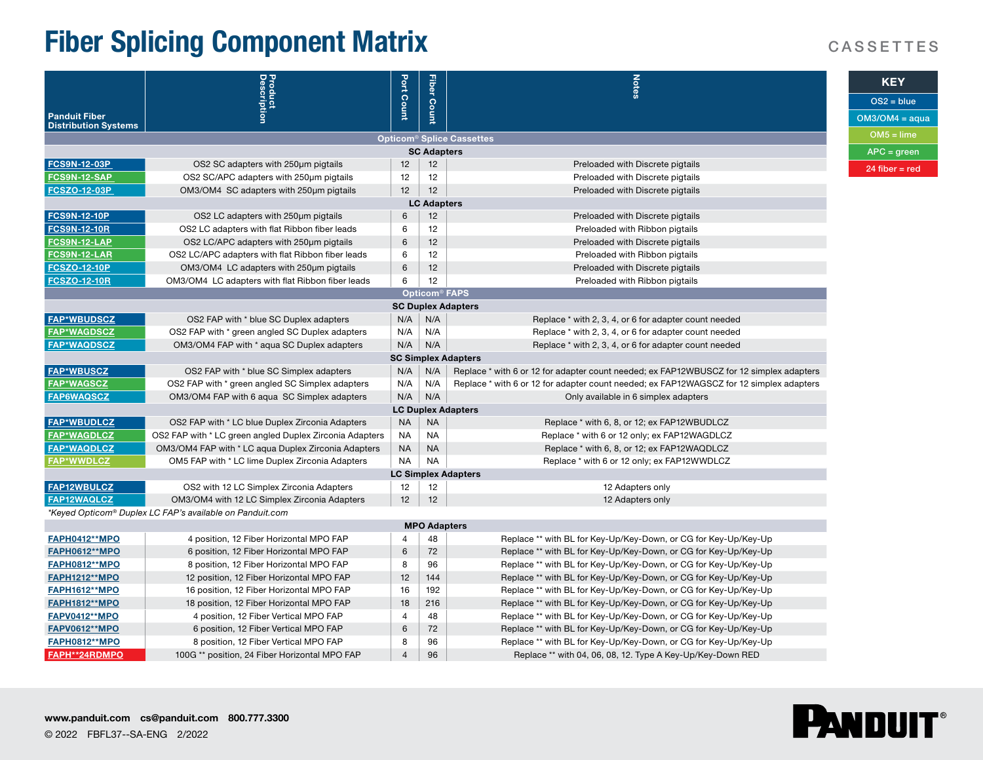## Fiber Splicing Component Matrix CASSETTES

|                                                     |                                                          | Port Count     |                     | <b>Notes</b>                                                                            | <b>KEY</b>       |
|-----------------------------------------------------|----------------------------------------------------------|----------------|---------------------|-----------------------------------------------------------------------------------------|------------------|
|                                                     |                                                          |                |                     |                                                                                         | $OS2 = blue$     |
| <b>Panduit Fiber</b><br><b>Distribution Systems</b> | <b>Product<br/>Description</b>                           |                | <b>Fiber Count</b>  |                                                                                         | $OM3/OM4 = aqua$ |
|                                                     |                                                          |                |                     | <b>Opticom<sup>®</sup> Splice Cassettes</b>                                             | $OM5 = lime$     |
|                                                     |                                                          |                | <b>SC Adapters</b>  |                                                                                         | $APC = green$    |
| <b>FCS9N-12-03P</b>                                 | OS2 SC adapters with 250um pigtails                      | 12             | 12                  | Preloaded with Discrete pigtails                                                        | $24$ fiber = red |
| FCS9N-12-SAP                                        | OS2 SC/APC adapters with 250um pigtails                  | 12             | 12                  | Preloaded with Discrete pigtails                                                        |                  |
| FCSZO-12-03P                                        | OM3/OM4 SC adapters with 250um pigtails                  | 12             | 12                  | Preloaded with Discrete pigtails                                                        |                  |
|                                                     |                                                          |                | <b>LC Adapters</b>  |                                                                                         |                  |
| <b>FCS9N-12-10P</b>                                 | OS2 LC adapters with 250um pigtails                      | 6              | 12                  | Preloaded with Discrete pigtails                                                        |                  |
| <b>FCS9N-12-10R</b>                                 | OS2 LC adapters with flat Ribbon fiber leads             | 6              | 12                  | Preloaded with Ribbon pigtails                                                          |                  |
| FCS9N-12-LAP                                        | OS2 LC/APC adapters with 250um pigtails                  | 6              | 12                  | Preloaded with Discrete pigtails                                                        |                  |
| FCS9N-12-LAR                                        | OS2 LC/APC adapters with flat Ribbon fiber leads         | 6              | 12                  | Preloaded with Ribbon pigtails                                                          |                  |
| <b>FCSZO-12-10P</b>                                 | OM3/OM4 LC adapters with 250um pigtails                  | 6              | 12                  | Preloaded with Discrete pigtails                                                        |                  |
| <b>FCSZO-12-10R</b>                                 | OM3/OM4 LC adapters with flat Ribbon fiber leads         | 6              | 12                  | Preloaded with Ribbon pigtails                                                          |                  |
|                                                     |                                                          |                |                     | Opticom <sup>®</sup> FAPS                                                               |                  |
|                                                     |                                                          |                |                     | <b>SC Duplex Adapters</b>                                                               |                  |
| <b>FAP*WBUDSCZ</b>                                  | OS2 FAP with * blue SC Duplex adapters                   | N/A            | N/A                 | Replace * with 2, 3, 4, or 6 for adapter count needed                                   |                  |
| <b>FAP*WAGDSCZ</b>                                  | OS2 FAP with * green angled SC Duplex adapters           | N/A            | N/A                 | Replace * with 2, 3, 4, or 6 for adapter count needed                                   |                  |
| <b>FAP*WAQDSCZ</b>                                  | OM3/OM4 FAP with * aqua SC Duplex adapters               | N/A            | N/A                 | Replace * with 2, 3, 4, or 6 for adapter count needed                                   |                  |
|                                                     |                                                          |                |                     | <b>SC Simplex Adapters</b>                                                              |                  |
| <b>FAP*WBUSCZ</b>                                   | OS2 FAP with * blue SC Simplex adapters                  | N/A            | N/A                 | Replace * with 6 or 12 for adapter count needed; ex FAP12WBUSCZ for 12 simplex adapters |                  |
| <b>FAP*WAGSCZ</b>                                   | OS2 FAP with * green angled SC Simplex adapters          | N/A            | N/A                 | Replace * with 6 or 12 for adapter count needed; ex FAP12WAGSCZ for 12 simplex adapters |                  |
| <b>FAP6WAQSCZ</b>                                   | OM3/OM4 FAP with 6 aqua SC Simplex adapters              | N/A            | N/A                 | Only available in 6 simplex adapters                                                    |                  |
|                                                     |                                                          |                |                     | <b>LC Duplex Adapters</b>                                                               |                  |
| <b>FAP*WBUDLCZ</b>                                  | OS2 FAP with * LC blue Duplex Zirconia Adapters          | <b>NA</b>      | <b>NA</b>           | Replace * with 6, 8, or 12; ex FAP12WBUDLCZ                                             |                  |
| <b>FAP*WAGDLCZ</b>                                  | OS2 FAP with * LC green angled Duplex Zirconia Adapters  | NA             | <b>NA</b>           | Replace * with 6 or 12 only; ex FAP12WAGDLCZ                                            |                  |
| <b>FAP*WAQDLCZ</b>                                  | OM3/OM4 FAP with * LC aqua Duplex Zirconia Adapters      | <b>NA</b>      | <b>NA</b>           | Replace * with 6, 8, or 12; ex FAP12WAQDLCZ                                             |                  |
| <b>FAP*WWDLCZ</b>                                   | OM5 FAP with * LC lime Duplex Zirconia Adapters          | NA             | NA                  | Replace * with 6 or 12 only; ex FAP12WWDLCZ                                             |                  |
|                                                     |                                                          |                |                     | <b>LC Simplex Adapters</b>                                                              |                  |
| <b>FAP12WBULCZ</b>                                  | OS2 with 12 LC Simplex Zirconia Adapters                 | 12             | 12                  | 12 Adapters only                                                                        |                  |
| FAP12WAQLCZ                                         | OM3/OM4 with 12 LC Simplex Zirconia Adapters             | 12             | 12                  | 12 Adapters only                                                                        |                  |
|                                                     | *Keyed Opticom® Duplex LC FAP's available on Panduit.com |                |                     |                                                                                         |                  |
|                                                     |                                                          |                | <b>MPO Adapters</b> |                                                                                         |                  |
| <b>FAPH0412**MPO</b>                                | 4 position, 12 Fiber Horizontal MPO FAP                  | 4              | 48                  | Replace ** with BL for Key-Up/Key-Down, or CG for Key-Up/Key-Up                         |                  |
| FAPH0612**MPO                                       | 6 position, 12 Fiber Horizontal MPO FAP                  | 6              | 72                  | Replace ** with BL for Key-Up/Key-Down, or CG for Key-Up/Key-Up                         |                  |
| FAPH0812**MPO                                       | 8 position, 12 Fiber Horizontal MPO FAP                  | 8              | 96                  | Replace ** with BL for Key-Up/Key-Down, or CG for Key-Up/Key-Up                         |                  |
| <b>FAPH1212**MPO</b>                                | 12 position, 12 Fiber Horizontal MPO FAP                 | 12             | 144                 | Replace ** with BL for Key-Up/Key-Down, or CG for Key-Up/Key-Up                         |                  |
| <b>FAPH1612**MPO</b>                                | 16 position, 12 Fiber Horizontal MPO FAP                 | 16             | 192                 | Replace ** with BL for Key-Up/Key-Down, or CG for Key-Up/Key-Up                         |                  |
| <b>FAPH1812**MPO</b>                                | 18 position, 12 Fiber Horizontal MPO FAP                 | 18             | 216                 | Replace ** with BL for Key-Up/Key-Down, or CG for Key-Up/Key-Up                         |                  |
| <b>FAPV0412**MPO</b>                                | 4 position, 12 Fiber Vertical MPO FAP                    | 4              | 48                  | Replace ** with BL for Key-Up/Key-Down, or CG for Key-Up/Key-Up                         |                  |
| <b>FAPV0612**MPO</b>                                | 6 position, 12 Fiber Vertical MPO FAP                    | 6              | 72                  | Replace ** with BL for Key-Up/Key-Down, or CG for Key-Up/Key-Up                         |                  |
| FAPH0812**MPO                                       | 8 position, 12 Fiber Vertical MPO FAP                    | 8              | 96                  | Replace ** with BL for Key-Up/Key-Down, or CG for Key-Up/Key-Up                         |                  |
| FAPH**24RDMPO                                       | 100G ** position, 24 Fiber Horizontal MPO FAP            | $\overline{4}$ | 96                  | Replace ** with 04, 06, 08, 12. Type A Key-Up/Key-Down RED                              |                  |

### **www.panduit.com cs@panduit.com 800.777.3300** © 2022 FBFL37--SA-ENG 2/2022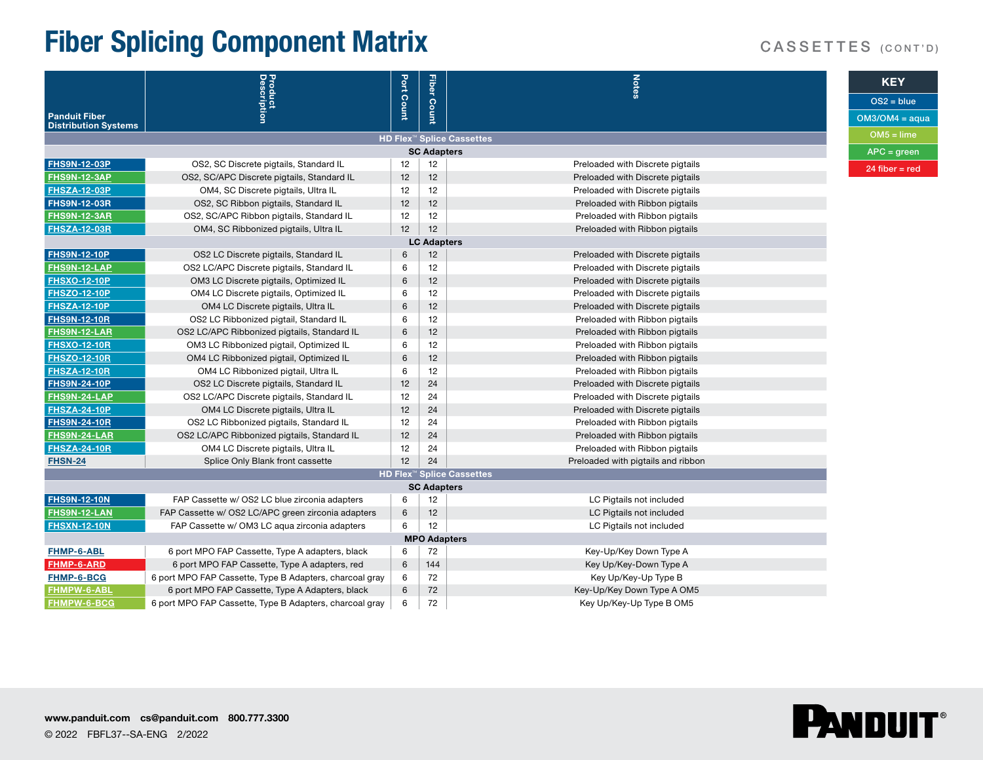## **Fiber Splicing Component Matrix**

| <b>CASSETTES</b> (CONT'D) |  |
|---------------------------|--|
|---------------------------|--|

KEY  $OS2 = blue$  $OM3/OM4 = aqua$  $OM5 =$  lime APC = green 24 fiber = red

|                                             |                                                         |            |                     | <b>Notes</b>                                |  |  |  |  |
|---------------------------------------------|---------------------------------------------------------|------------|---------------------|---------------------------------------------|--|--|--|--|
|                                             |                                                         |            |                     |                                             |  |  |  |  |
| <b>Panduit Fiber</b>                        | Product<br>Description                                  | Port Count | <b>Fiber Count</b>  |                                             |  |  |  |  |
| <b>Distribution Systems</b>                 |                                                         |            |                     |                                             |  |  |  |  |
| <b>HD Flex<sup>™</sup> Splice Cassettes</b> |                                                         |            |                     |                                             |  |  |  |  |
|                                             |                                                         |            | <b>SC Adapters</b>  |                                             |  |  |  |  |
| <b>FHS9N-12-03P</b>                         | OS2, SC Discrete pigtails, Standard IL                  | 12         | 12                  | Preloaded with Discrete pigtails            |  |  |  |  |
| <b>FHS9N-12-3AP</b>                         | OS2, SC/APC Discrete pigtails, Standard IL              | 12         | 12                  | Preloaded with Discrete pigtails            |  |  |  |  |
| <b>FHSZA-12-03P</b>                         | OM4, SC Discrete pigtails, Ultra IL                     | 12         | 12                  | Preloaded with Discrete pigtails            |  |  |  |  |
| <b>FHS9N-12-03R</b>                         | OS2, SC Ribbon pigtails, Standard IL                    | 12         | 12                  | Preloaded with Ribbon pigtails              |  |  |  |  |
| <b>FHS9N-12-3AR</b>                         | OS2, SC/APC Ribbon pigtails, Standard IL                | 12         | 12                  | Preloaded with Ribbon pigtails              |  |  |  |  |
| <b>FHSZA-12-03R</b>                         | OM4, SC Ribbonized pigtails, Ultra IL                   | 12         | 12                  | Preloaded with Ribbon pigtails              |  |  |  |  |
|                                             |                                                         |            | <b>LC Adapters</b>  |                                             |  |  |  |  |
| <b>FHS9N-12-10P</b>                         | OS2 LC Discrete pigtails, Standard IL                   | 6          | 12                  | Preloaded with Discrete pigtails            |  |  |  |  |
| FHS9N-12-LAP                                | OS2 LC/APC Discrete pigtails, Standard IL               | 6          | 12                  | Preloaded with Discrete pigtails            |  |  |  |  |
| <b>FHSXO-12-10P</b>                         | OM3 LC Discrete pigtails, Optimized IL                  | 6          | 12                  | Preloaded with Discrete pigtails            |  |  |  |  |
| <b>FHSZO-12-10P</b>                         | OM4 LC Discrete pigtails, Optimized IL                  | 6          | 12                  | Preloaded with Discrete pigtails            |  |  |  |  |
| <b>FHSZA-12-10P</b>                         | OM4 LC Discrete pigtails, Ultra IL                      | 6          | 12                  | Preloaded with Discrete pigtails            |  |  |  |  |
| <b>FHS9N-12-10R</b>                         | OS2 LC Ribbonized pigtail, Standard IL                  | 6          | 12                  | Preloaded with Ribbon pigtails              |  |  |  |  |
| FHS9N-12-LAR                                | OS2 LC/APC Ribbonized pigtails, Standard IL             | 6          | 12                  | Preloaded with Ribbon pigtails              |  |  |  |  |
| <b>FHSXO-12-10R</b>                         | OM3 LC Ribbonized pigtail, Optimized IL                 | 6          | 12                  | Preloaded with Ribbon pigtails              |  |  |  |  |
| <b>FHSZO-12-10R</b>                         | OM4 LC Ribbonized pigtail, Optimized IL                 | 6          | 12                  | Preloaded with Ribbon pigtails              |  |  |  |  |
| <b>FHSZA-12-10R</b>                         | OM4 LC Ribbonized pigtail, Ultra IL                     | 6          | 12                  | Preloaded with Ribbon pigtails              |  |  |  |  |
| <b>FHS9N-24-10P</b>                         | OS2 LC Discrete pigtails, Standard IL                   | 12         | 24                  | Preloaded with Discrete pigtails            |  |  |  |  |
| FHS9N-24-LAP                                | OS2 LC/APC Discrete pigtails, Standard IL               | 12         | 24                  | Preloaded with Discrete pigtails            |  |  |  |  |
| <b>FHSZA-24-10P</b>                         | OM4 LC Discrete pigtails, Ultra IL                      | 12         | 24                  | Preloaded with Discrete pigtails            |  |  |  |  |
| <b>FHS9N-24-10R</b>                         | OS2 LC Ribbonized pigtails, Standard IL                 | 12         | 24                  | Preloaded with Ribbon pigtails              |  |  |  |  |
| FHS9N-24-LAR                                | OS2 LC/APC Ribbonized pigtails, Standard IL             | 12         | 24                  | Preloaded with Ribbon pigtails              |  |  |  |  |
| <b>FHSZA-24-10R</b>                         | OM4 LC Discrete pigtails, Ultra IL                      | 12         | 24                  | Preloaded with Ribbon pigtails              |  |  |  |  |
| <b>FHSN-24</b>                              | Splice Only Blank front cassette                        | 12         | 24                  | Preloaded with pigtails and ribbon          |  |  |  |  |
|                                             |                                                         |            |                     | <b>HD Flex<sup>™</sup> Splice Cassettes</b> |  |  |  |  |
|                                             |                                                         |            | <b>SC Adapters</b>  |                                             |  |  |  |  |
| <b>FHS9N-12-10N</b>                         | FAP Cassette w/ OS2 LC blue zirconia adapters           | 6          | 12                  | LC Pigtails not included                    |  |  |  |  |
| FHS9N-12-LAN                                | FAP Cassette w/ OS2 LC/APC green zirconia adapters      | 6          | 12                  | LC Pigtails not included                    |  |  |  |  |
| <b>FHSXN-12-10N</b>                         | FAP Cassette w/ OM3 LC aqua zirconia adapters           | 6          | 12                  | LC Pigtails not included                    |  |  |  |  |
|                                             |                                                         |            | <b>MPO Adapters</b> |                                             |  |  |  |  |
| <b>FHMP-6-ABL</b>                           | 6 port MPO FAP Cassette, Type A adapters, black         | 6          | 72                  | Key-Up/Key Down Type A                      |  |  |  |  |
| FHMP-6-ARD                                  | 6 port MPO FAP Cassette, Type A adapters, red           | 6          | 144                 | Key Up/Key-Down Type A                      |  |  |  |  |
| FHMP-6-BCG                                  | 6 port MPO FAP Cassette, Type B Adapters, charcoal gray | 6          | 72                  | Key Up/Key-Up Type B                        |  |  |  |  |
| FHMPW-6-ABL                                 | 6 port MPO FAP Cassette, Type A Adapters, black         | 6          | 72                  | Key-Up/Key Down Type A OM5                  |  |  |  |  |
| FHMPW-6-BCG                                 | 6 port MPO FAP Cassette, Type B Adapters, charcoal gray | 6          | 72                  | Key Up/Key-Up Type B OM5                    |  |  |  |  |

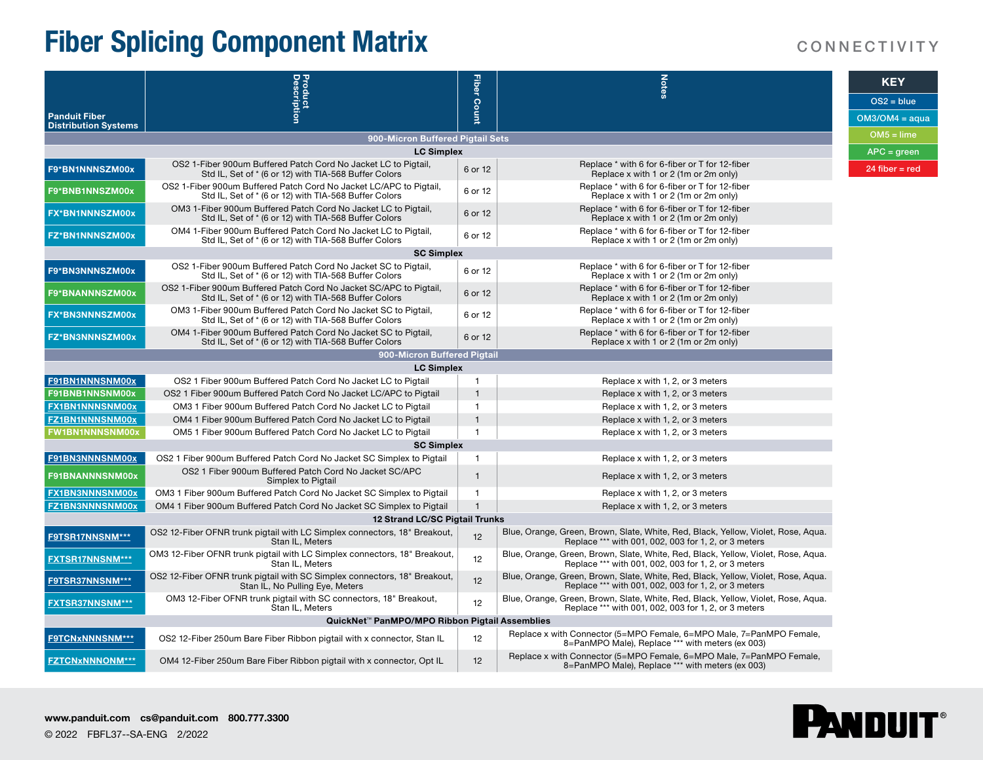# Fiber Splicing Component Matrix CONNECTIVITY

|                                | <b>Product<br/>Description</b>                                                                                              |                    | <b>Notes</b>                                                                                                                              | <b>KEY</b>       |  |  |  |  |
|--------------------------------|-----------------------------------------------------------------------------------------------------------------------------|--------------------|-------------------------------------------------------------------------------------------------------------------------------------------|------------------|--|--|--|--|
|                                |                                                                                                                             |                    |                                                                                                                                           | $OS2 = blue$     |  |  |  |  |
| <b>Panduit Fiber</b>           |                                                                                                                             | <b>Fiber Count</b> |                                                                                                                                           | $OM3/OM4 = aqua$ |  |  |  |  |
| <b>Distribution Systems</b>    | 900-Micron Buffered Pigtail Sets                                                                                            |                    |                                                                                                                                           | $OM5 = lime$     |  |  |  |  |
|                                | <b>LC Simplex</b>                                                                                                           |                    |                                                                                                                                           | $APC = green$    |  |  |  |  |
|                                | OS2 1-Fiber 900um Buffered Patch Cord No Jacket LC to Pigtail,                                                              |                    | Replace * with 6 for 6-fiber or T for 12-fiber                                                                                            |                  |  |  |  |  |
| F9*BN1NNNSZM00x                | Std IL, Set of * (6 or 12) with TIA-568 Buffer Colors                                                                       | 6 or 12            | Replace x with 1 or 2 (1m or 2m only)                                                                                                     | $24$ fiber = red |  |  |  |  |
| <b>F9*BNB1NNSZM00x</b>         | OS2 1-Fiber 900um Buffered Patch Cord No Jacket LC/APC to Pigtail,<br>Std IL, Set of * (6 or 12) with TIA-568 Buffer Colors | 6 or 12            | Replace * with 6 for 6-fiber or T for 12-fiber<br>Replace x with 1 or 2 (1m or 2m only)                                                   |                  |  |  |  |  |
| FX*BN1NNNSZM00x                | OM3 1-Fiber 900um Buffered Patch Cord No Jacket LC to Pigtail,<br>Std IL, Set of * (6 or 12) with TIA-568 Buffer Colors     | 6 or 12            | Replace * with 6 for 6-fiber or T for 12-fiber<br>Replace x with 1 or 2 (1m or 2m only)                                                   |                  |  |  |  |  |
| FZ*BN1NNNSZM00x                | OM4 1-Fiber 900um Buffered Patch Cord No Jacket LC to Pigtail,<br>Std IL, Set of * (6 or 12) with TIA-568 Buffer Colors     | 6 or 12            | Replace * with 6 for 6-fiber or T for 12-fiber<br>Replace x with 1 or 2 (1m or 2m only)                                                   |                  |  |  |  |  |
|                                | <b>SC Simplex</b>                                                                                                           |                    |                                                                                                                                           |                  |  |  |  |  |
| F9*BN3NNNSZM00x                | OS2 1-Fiber 900um Buffered Patch Cord No Jacket SC to Pigtail,<br>Std IL, Set of * (6 or 12) with TIA-568 Buffer Colors     | 6 or 12            | Replace * with 6 for 6-fiber or T for 12-fiber<br>Replace x with 1 or 2 (1m or 2m only)                                                   |                  |  |  |  |  |
| F9*BNANNNSZM00x                | OS2 1-Fiber 900um Buffered Patch Cord No Jacket SC/APC to Pigtail,<br>Std IL, Set of * (6 or 12) with TIA-568 Buffer Colors | 6 or 12            | Replace * with 6 for 6-fiber or T for 12-fiber<br>Replace x with 1 or 2 (1m or 2m only)                                                   |                  |  |  |  |  |
| FX*BN3NNNSZM00x                | OM3 1-Fiber 900um Buffered Patch Cord No Jacket SC to Pigtail,<br>Std IL, Set of * (6 or 12) with TIA-568 Buffer Colors     | 6 or 12            | Replace * with 6 for 6-fiber or T for 12-fiber<br>Replace x with 1 or 2 (1m or 2m only)                                                   |                  |  |  |  |  |
| FZ*BN3NNNSZM00x                | OM4 1-Fiber 900um Buffered Patch Cord No Jacket SC to Pigtail,<br>Std IL, Set of * (6 or 12) with TIA-568 Buffer Colors     | 6 or 12            | Replace * with 6 for 6-fiber or T for 12-fiber<br>Replace x with 1 or 2 (1m or 2m only)                                                   |                  |  |  |  |  |
|                                | 900-Micron Buffered Pigtail                                                                                                 |                    |                                                                                                                                           |                  |  |  |  |  |
|                                | <b>LC Simplex</b>                                                                                                           |                    |                                                                                                                                           |                  |  |  |  |  |
| F91BN1NNNSNM00x                | OS2 1 Fiber 900um Buffered Patch Cord No Jacket LC to Pigtail                                                               | $\mathbf{1}$       | Replace x with 1, 2, or 3 meters                                                                                                          |                  |  |  |  |  |
| F91BNB1NNSNM00x                | OS2 1 Fiber 900um Buffered Patch Cord No Jacket LC/APC to Pigtail                                                           | $\overline{1}$     | Replace x with 1, 2, or 3 meters                                                                                                          |                  |  |  |  |  |
| FX1BN1NNNSNM00x                | OM3 1 Fiber 900um Buffered Patch Cord No Jacket LC to Pigtail                                                               | $\mathbf{1}$       | Replace x with 1, 2, or 3 meters                                                                                                          |                  |  |  |  |  |
| FZ1BN1NNNSNM00x                | OM4 1 Fiber 900um Buffered Patch Cord No Jacket LC to Pigtail                                                               | $\overline{1}$     | Replace x with 1, 2, or 3 meters                                                                                                          |                  |  |  |  |  |
| FW1BN1NNNSNM00x                | OM5 1 Fiber 900um Buffered Patch Cord No Jacket LC to Pigtail                                                               | $\mathbf{1}$       | Replace x with 1, 2, or 3 meters                                                                                                          |                  |  |  |  |  |
|                                | <b>SC Simplex</b>                                                                                                           |                    |                                                                                                                                           |                  |  |  |  |  |
| F91BN3NNNSNM00x                | OS2 1 Fiber 900um Buffered Patch Cord No Jacket SC Simplex to Pigtail                                                       | $\overline{1}$     | Replace x with 1, 2, or 3 meters                                                                                                          |                  |  |  |  |  |
| F91BNANNNSNM00x                | OS2 1 Fiber 900um Buffered Patch Cord No Jacket SC/APC<br>Simplex to Pigtail                                                | $\mathbf{1}$       | Replace x with 1, 2, or 3 meters                                                                                                          |                  |  |  |  |  |
| FX1BN3NNNSNM00x                | OM3 1 Fiber 900um Buffered Patch Cord No Jacket SC Simplex to Pigtail                                                       | $\overline{1}$     | Replace x with 1, 2, or 3 meters                                                                                                          |                  |  |  |  |  |
| FZ1BN3NNNSNM00x                | OM4 1 Fiber 900um Buffered Patch Cord No Jacket SC Simplex to Pigtail                                                       | $\mathbf{1}$       | Replace x with 1, 2, or 3 meters                                                                                                          |                  |  |  |  |  |
| 12 Strand LC/SC Pigtail Trunks |                                                                                                                             |                    |                                                                                                                                           |                  |  |  |  |  |
| F9TSR17NNSNM***                | OS2 12-Fiber OFNR trunk pigtail with LC Simplex connectors, 18" Breakout,<br>Stan IL, Meters                                | 12                 | Blue, Orange, Green, Brown, Slate, White, Red, Black, Yellow, Violet, Rose, Aqua.<br>Replace *** with 001, 002, 003 for 1, 2, or 3 meters |                  |  |  |  |  |
| <b>FXTSR17NNSNM***</b>         | OM3 12-Fiber OFNR trunk pigtail with LC Simplex connectors, 18" Breakout,<br>Stan IL, Meters                                | 12                 | Blue, Orange, Green, Brown, Slate, White, Red, Black, Yellow, Violet, Rose, Aqua.<br>Replace *** with 001, 002, 003 for 1, 2, or 3 meters |                  |  |  |  |  |
| F9TSR37NNSNM***                | OS2 12-Fiber OFNR trunk pigtail with SC Simplex connectors, 18" Breakout,<br>Stan IL, No Pulling Eye, Meters                | 12                 | Blue, Orange, Green, Brown, Slate, White, Red, Black, Yellow, Violet, Rose, Aqua.<br>Replace *** with 001, 002, 003 for 1, 2, or 3 meters |                  |  |  |  |  |
| FXTSR37NNSNM***                | OM3 12-Fiber OFNR trunk pigtail with SC connectors, 18" Breakout,<br>Stan IL, Meters                                        | 12                 | Blue, Orange, Green, Brown, Slate, White, Red, Black, Yellow, Violet, Rose, Aqua.<br>Replace *** with 001, 002, 003 for 1, 2, or 3 meters |                  |  |  |  |  |
|                                | QuickNet <sup>™</sup> PanMPO/MPO Ribbon Pigtail Assemblies                                                                  |                    |                                                                                                                                           |                  |  |  |  |  |
| F9TCNxNNNSNM***                | OS2 12-Fiber 250um Bare Fiber Ribbon pigtail with x connector, Stan IL                                                      | 12                 | Replace x with Connector (5=MPO Female, 6=MPO Male, 7=PanMPO Female,<br>8=PanMPO Male), Replace *** with meters (ex 003)                  |                  |  |  |  |  |
| <b>FZTCNxNNNONM***</b>         | OM4 12-Fiber 250um Bare Fiber Ribbon pigtail with x connector, Opt IL                                                       | 12                 | Replace x with Connector (5=MPO Female, 6=MPO Male, 7=PanMPO Female,<br>8=PanMPO Male), Replace *** with meters (ex 003)                  |                  |  |  |  |  |